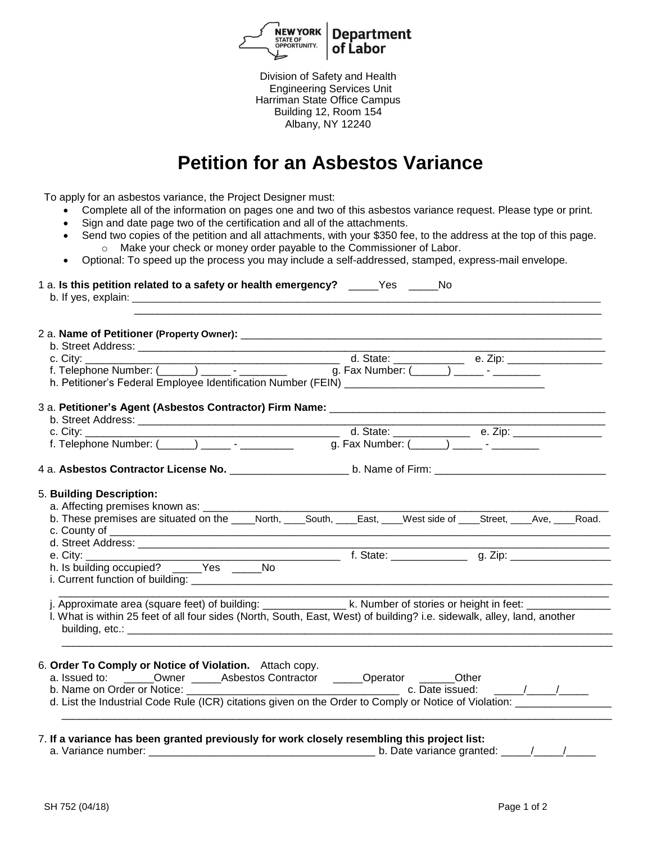

Division of Safety and Health Engineering Services Unit Harriman State Office Campus Building 12, Room 154 Albany, NY 12240

## **Petition for an Asbestos Variance**

To apply for an asbestos variance, the Project Designer must:

- Complete all of the information on pages one and two of this asbestos variance request. Please type or print.
- Sign and date page two of the certification and all of the attachments.
- Send two copies of the petition and all attachments, with your \$350 fee, to the address at the top of this page. o Make your check or money order payable to the Commissioner of Labor.
- Optional: To speed up the process you may include a self-addressed, stamped, express-mail envelope.

| 1 a. Is this petition related to a safety or health emergency? _____Yes _____No             |                                                                                                                         |
|---------------------------------------------------------------------------------------------|-------------------------------------------------------------------------------------------------------------------------|
|                                                                                             |                                                                                                                         |
|                                                                                             |                                                                                                                         |
|                                                                                             |                                                                                                                         |
|                                                                                             |                                                                                                                         |
|                                                                                             |                                                                                                                         |
|                                                                                             |                                                                                                                         |
|                                                                                             |                                                                                                                         |
|                                                                                             |                                                                                                                         |
|                                                                                             |                                                                                                                         |
|                                                                                             |                                                                                                                         |
|                                                                                             | 4 a. Asbestos Contractor License No. ________________________ b. Name of Firm: _______________________________          |
|                                                                                             |                                                                                                                         |
| 5. Building Description:                                                                    |                                                                                                                         |
|                                                                                             |                                                                                                                         |
|                                                                                             |                                                                                                                         |
|                                                                                             |                                                                                                                         |
|                                                                                             |                                                                                                                         |
|                                                                                             |                                                                                                                         |
|                                                                                             |                                                                                                                         |
|                                                                                             |                                                                                                                         |
|                                                                                             | <u> 1980 - Johann Barbara, martin d</u>                                                                                 |
|                                                                                             | j. Approximate area (square feet) of building: _________________ k. Number of stories or height in feet: __________     |
|                                                                                             | I. What is within 25 feet of all four sides (North, South, East, West) of building? i.e. sidewalk, alley, land, another |
|                                                                                             |                                                                                                                         |
|                                                                                             |                                                                                                                         |
| 6. Order To Comply or Notice of Violation. Attach copy.                                     |                                                                                                                         |
| a. Issued to: ______Owner ______Asbestos Contractor ______Operator _______Other             |                                                                                                                         |
|                                                                                             | b. Name on Order or Notice: $\overline{\phantom{a}}$ c. Date issued: $\overline{\phantom{a}}$                           |
|                                                                                             | d. List the Industrial Code Rule (ICR) citations given on the Order to Comply or Notice of Violation:                   |
|                                                                                             |                                                                                                                         |
|                                                                                             |                                                                                                                         |
| 7. If a variance has been granted previously for work closely resembling this project list: |                                                                                                                         |
| a. Variance number:                                                                         | b. Date variance granted: $\frac{1}{2}$ /                                                                               |